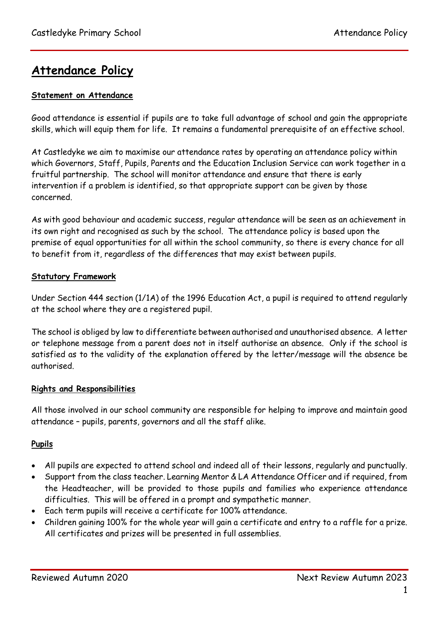# **Attendance Policy**

### **Statement on Attendance**

Good attendance is essential if pupils are to take full advantage of school and gain the appropriate skills, which will equip them for life. It remains a fundamental prerequisite of an effective school.

At Castledyke we aim to maximise our attendance rates by operating an attendance policy within which Governors, Staff, Pupils, Parents and the Education Inclusion Service can work together in a fruitful partnership. The school will monitor attendance and ensure that there is early intervention if a problem is identified, so that appropriate support can be given by those concerned.

As with good behaviour and academic success, regular attendance will be seen as an achievement in its own right and recognised as such by the school. The attendance policy is based upon the premise of equal opportunities for all within the school community, so there is every chance for all to benefit from it, regardless of the differences that may exist between pupils.

#### **Statutory Framework**

Under Section 444 section (1/1A) of the 1996 Education Act, a pupil is required to attend regularly at the school where they are a registered pupil.

The school is obliged by law to differentiate between authorised and unauthorised absence. A letter or telephone message from a parent does not in itself authorise an absence. Only if the school is satisfied as to the validity of the explanation offered by the letter/message will the absence be authorised.

#### **Rights and Responsibilities**

All those involved in our school community are responsible for helping to improve and maintain good attendance – pupils, parents, governors and all the staff alike.

# **Pupils**

- All pupils are expected to attend school and indeed all of their lessons, regularly and punctually.
- Support from the class teacher. Learning Mentor & LA Attendance Officer and if required, from the Headteacher, will be provided to those pupils and families who experience attendance difficulties. This will be offered in a prompt and sympathetic manner.
- Each term pupils will receive a certificate for 100% attendance.
- Children gaining 100% for the whole year will gain a certificate and entry to a raffle for a prize. All certificates and prizes will be presented in full assemblies.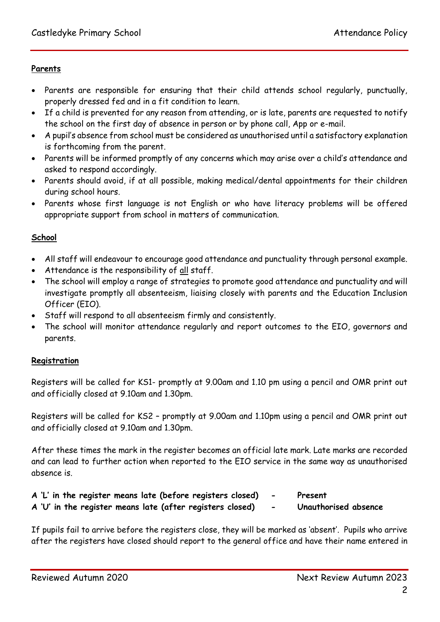# **Parents**

- Parents are responsible for ensuring that their child attends school regularly, punctually, properly dressed fed and in a fit condition to learn.
- If a child is prevented for any reason from attending, or is late, parents are requested to notify the school on the first day of absence in person or by phone call, App or e-mail.
- A pupil's absence from school must be considered as unauthorised until a satisfactory explanation is forthcoming from the parent.
- Parents will be informed promptly of any concerns which may arise over a child's attendance and asked to respond accordingly.
- Parents should avoid, if at all possible, making medical/dental appointments for their children during school hours.
- Parents whose first language is not English or who have literacy problems will be offered appropriate support from school in matters of communication.

# **School**

- All staff will endeavour to encourage good attendance and punctuality through personal example.
- Attendance is the responsibility of all staff.
- The school will employ a range of strategies to promote good attendance and punctuality and will investigate promptly all absenteeism, liaising closely with parents and the Education Inclusion Officer (EIO).
- Staff will respond to all absenteeism firmly and consistently.
- The school will monitor attendance regularly and report outcomes to the EIO, governors and parents.

# **Registration**

Registers will be called for KS1- promptly at 9.00am and 1.10 pm using a pencil and OMR print out and officially closed at 9.10am and 1.30pm.

Registers will be called for KS2 – promptly at 9.00am and 1.10pm using a pencil and OMR print out and officially closed at 9.10am and 1.30pm.

After these times the mark in the register becomes an official late mark. Late marks are recorded and can lead to further action when reported to the EIO service in the same way as unauthorised absence is.

|  |  | A 'L' in the register means late (before registers closed) | Present              |
|--|--|------------------------------------------------------------|----------------------|
|  |  | A 'U' in the register means late (after registers closed)  | Unauthorised absence |

If pupils fail to arrive before the registers close, they will be marked as 'absent'. Pupils who arrive after the registers have closed should report to the general office and have their name entered in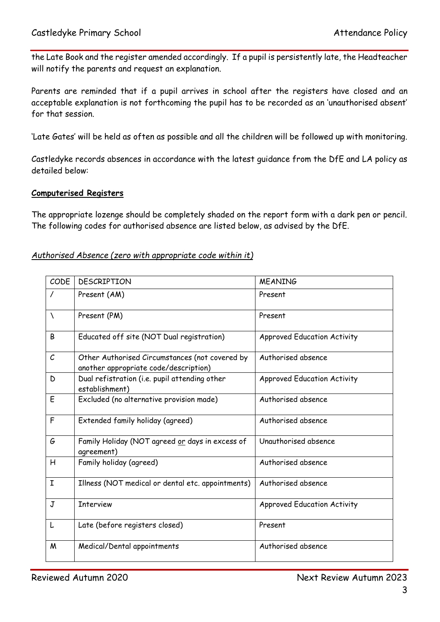the Late Book and the register amended accordingly. If a pupil is persistently late, the Headteacher will notify the parents and request an explanation.

Parents are reminded that if a pupil arrives in school after the registers have closed and an acceptable explanation is not forthcoming the pupil has to be recorded as an 'unauthorised absent' for that session.

'Late Gates' will be held as often as possible and all the children will be followed up with monitoring.

Castledyke records absences in accordance with the latest guidance from the DfE and LA policy as detailed below:

#### **Computerised Registers**

The appropriate lozenge should be completely shaded on the report form with a dark pen or pencil. The following codes for authorised absence are listed below, as advised by the DfE.

#### *Authorised Absence (zero with appropriate code within it)*

| CODE              | <b>DESCRIPTION</b>                                                                      | <b>MEANING</b>                     |
|-------------------|-----------------------------------------------------------------------------------------|------------------------------------|
|                   | Present (AM)                                                                            | Present                            |
| N                 | Present (PM)                                                                            | Present                            |
| B                 | Educated off site (NOT Dual registration)                                               | <b>Approved Education Activity</b> |
| $\mathcal{C}_{0}$ | Other Authorised Circumstances (not covered by<br>another appropriate code/description) | Authorised absence                 |
| D                 | Dual refistration (i.e. pupil attending other<br>establishment)                         | <b>Approved Education Activity</b> |
| E                 | Excluded (no alternative provision made)                                                | Authorised absence                 |
| F                 | Extended family holiday (agreed)                                                        | Authorised absence                 |
| G                 | Family Holiday (NOT agreed or days in excess of<br>agreement)                           | Unauthorised absence               |
| Η                 | Family holiday (agreed)                                                                 | Authorised absence                 |
| I                 | Illness (NOT medical or dental etc. appointments)                                       | Authorised absence                 |
| J                 | <b>Interview</b>                                                                        | <b>Approved Education Activity</b> |
| L                 | Late (before registers closed)                                                          | Present                            |
| M                 | Medical/Dental appointments                                                             | Authorised absence                 |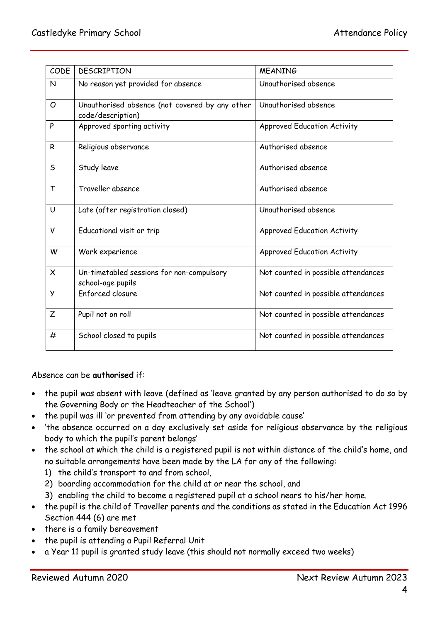| CODE     | <b>DESCRIPTION</b>                                                  | <b>MEANING</b>                      |
|----------|---------------------------------------------------------------------|-------------------------------------|
| N        | No reason yet provided for absence                                  | Unauthorised absence                |
| O        | Unauthorised absence (not covered by any other<br>code/description) | Unauthorised absence                |
| P        | Approved sporting activity                                          | <b>Approved Education Activity</b>  |
| R        | Religious observance                                                | Authorised absence                  |
| S        | Study leave                                                         | Authorised absence                  |
| T        | Traveller absence                                                   | Authorised absence                  |
| U        | Late (after registration closed)                                    | Unauthorised absence                |
| v        | Educational visit or trip                                           | <b>Approved Education Activity</b>  |
| W        | Work experience                                                     | <b>Approved Education Activity</b>  |
| $\times$ | Un-timetabled sessions for non-compulsory<br>school-age pupils      | Not counted in possible attendances |
| У        | Enforced closure                                                    | Not counted in possible attendances |
| Z        | Pupil not on roll                                                   | Not counted in possible attendances |
| #        | School closed to pupils                                             | Not counted in possible attendances |

Absence can be **authorised** if:

- the pupil was absent with leave (defined as 'leave granted by any person authorised to do so by the Governing Body or the Headteacher of the School')
- the pupil was ill 'or prevented from attending by any avoidable cause'
- 'the absence occurred on a day exclusively set aside for religious observance by the religious body to which the pupil's parent belongs'
- the school at which the child is a registered pupil is not within distance of the child's home, and no suitable arrangements have been made by the LA for any of the following:
	- 1) the child's transport to and from school,
	- 2) boarding accommodation for the child at or near the school, and
	- 3) enabling the child to become a registered pupil at a school nears to his/her home.
- the pupil is the child of Traveller parents and the conditions as stated in the Education Act 1996 Section 444 (6) are met
- there is a family bereavement
- the pupil is attending a Pupil Referral Unit
- a Year 11 pupil is granted study leave (this should not normally exceed two weeks)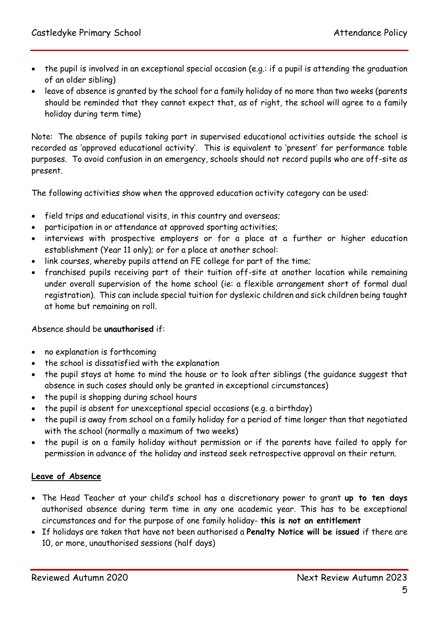- the pupil is involved in an exceptional special occasion (e.g.: if a pupil is attending the graduation of an older sibling)
- leave of absence is granted by the school for a family holiday of no more than two weeks (parents should be reminded that they cannot expect that, as of right, the school will agree to a family holiday during term time)

Note: The absence of pupils taking part in supervised educational activities outside the school is recorded as 'approved educational activity'. This is equivalent to 'present' for performance table purposes. To avoid confusion in an emergency, schools should not record pupils who are off-site as present.

The following activities show when the approved education activity category can be used:

- field trips and educational visits, in this country and overseas;
- participation in or attendance at approved sporting activities;
- interviews with prospective employers or for a place at a further or higher education establishment (Year 11 only); or for a place at another school:
- link courses, whereby pupils attend an FE college for part of the time;
- franchised pupils receiving part of their tuition off-site at another location while remaining under overall supervision of the home school (ie: a flexible arrangement short of formal dual registration). This can include special tuition for dyslexic children and sick children being taught at home but remaining on roll.

# Absence should be **unauthorised** if:

- no explanation is forthcoming
- the school is dissatisfied with the explanation
- the pupil stays at home to mind the house or to look after siblings (the quidance suggest that absence in such cases should only be granted in exceptional circumstances)
- the pupil is shopping during school hours
- the pupil is absent for unexceptional special occasions (e.g. a birthday)
- the pupil is away from school on a family holiday for a period of time longer than that negotiated with the school (normally a maximum of two weeks)
- the pupil is on a family holiday without permission or if the parents have failed to apply for permission in advance of the holiday and instead seek retrospective approval on their return.

# **Leave of Absence**

- The Head Teacher at your child's school has a discretionary power to grant **up to ten days** authorised absence during term time in any one academic year. This has to be exceptional circumstances and for the purpose of one family holiday- **this is not an entitlement**
- If holidays are taken that have not been authorised a **Penalty Notice will be issued** if there are 10, or more, unauthorised sessions (half days)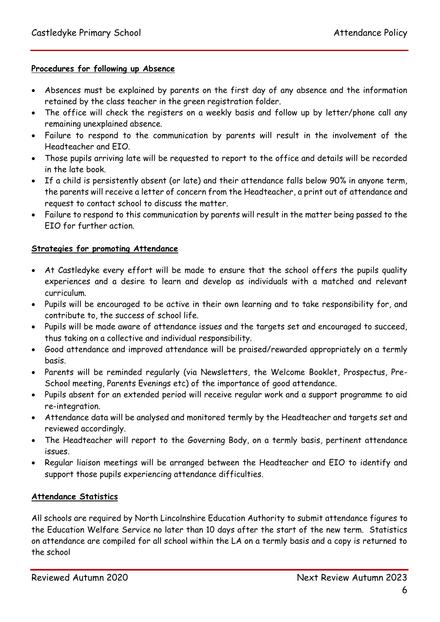#### **Procedures for following up Absence**

- Absences must be explained by parents on the first day of any absence and the information retained by the class teacher in the green registration folder.
- The office will check the registers on a weekly basis and follow up by letter/phone call any remaining unexplained absence.
- Failure to respond to the communication by parents will result in the involvement of the Headteacher and EIO.
- Those pupils arriving late will be requested to report to the office and details will be recorded in the late book.
- If a child is persistently absent (or late) and their attendance falls below 90% in anyone term, the parents will receive a letter of concern from the Headteacher, a print out of attendance and request to contact school to discuss the matter.
- Failure to respond to this communication by parents will result in the matter being passed to the EIO for further action.

#### **Strategies for promoting Attendance**

- At Castledyke every effort will be made to ensure that the school offers the pupils quality experiences and a desire to learn and develop as individuals with a matched and relevant curriculum.
- Pupils will be encouraged to be active in their own learning and to take responsibility for, and contribute to, the success of school life.
- Pupils will be made aware of attendance issues and the targets set and encouraged to succeed, thus taking on a collective and individual responsibility.
- Good attendance and improved attendance will be praised/rewarded appropriately on a termly basis.
- Parents will be reminded regularly (via Newsletters, the Welcome Booklet, Prospectus, Pre-School meeting, Parents Evenings etc) of the importance of good attendance.
- Pupils absent for an extended period will receive regular work and a support programme to aid re-integration.
- Attendance data will be analysed and monitored termly by the Headteacher and targets set and reviewed accordingly.
- The Headteacher will report to the Governing Body, on a termly basis, pertinent attendance issues.
- Regular liaison meetings will be arranged between the Headteacher and EIO to identify and support those pupils experiencing attendance difficulties.

#### **Attendance Statistics**

All schools are required by North Lincolnshire Education Authority to submit attendance figures to the Education Welfare Service no later than 10 days after the start of the new term. Statistics on attendance are compiled for all school within the LA on a termly basis and a copy is returned to the school